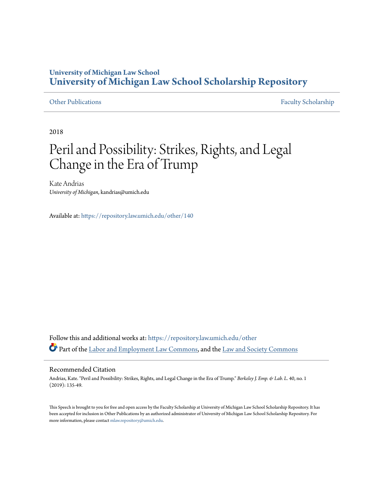### **University of Michigan Law School [University of Michigan Law School Scholarship Repository](https://repository.law.umich.edu/?utm_source=repository.law.umich.edu%2Fother%2F140&utm_medium=PDF&utm_campaign=PDFCoverPages)**

[Other Publications](https://repository.law.umich.edu/other?utm_source=repository.law.umich.edu%2Fother%2F140&utm_medium=PDF&utm_campaign=PDFCoverPages) [Faculty Scholarship](https://repository.law.umich.edu/faculty_scholarship?utm_source=repository.law.umich.edu%2Fother%2F140&utm_medium=PDF&utm_campaign=PDFCoverPages)

2018

# Peril and Possibility: Strikes, Rights, and Legal Change in the Era of Trump

Kate Andrias *University of Michigan*, kandrias@umich.edu

Available at: <https://repository.law.umich.edu/other/140>

Follow this and additional works at: [https://repository.law.umich.edu/other](https://repository.law.umich.edu/other?utm_source=repository.law.umich.edu%2Fother%2F140&utm_medium=PDF&utm_campaign=PDFCoverPages) Part of the [Labor and Employment Law Commons,](http://network.bepress.com/hgg/discipline/909?utm_source=repository.law.umich.edu%2Fother%2F140&utm_medium=PDF&utm_campaign=PDFCoverPages) and the [Law and Society Commons](http://network.bepress.com/hgg/discipline/853?utm_source=repository.law.umich.edu%2Fother%2F140&utm_medium=PDF&utm_campaign=PDFCoverPages)

### Recommended Citation

Andrias, Kate. "Peril and Possibility: Strikes, Rights, and Legal Change in the Era of Trump." *Berkeley J. Emp. & Lab. L.* 40, no. 1 (2019): 135-49.

This Speech is brought to you for free and open access by the Faculty Scholarship at University of Michigan Law School Scholarship Repository. It has been accepted for inclusion in Other Publications by an authorized administrator of University of Michigan Law School Scholarship Repository. For more information, please contact [mlaw.repository@umich.edu](mailto:mlaw.repository@umich.edu).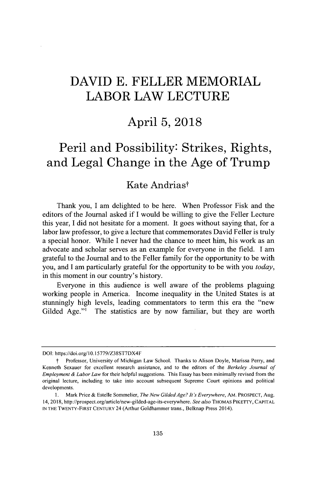## **DAVID E. FELLER MEMORIAL LABOR LAW LECTURE**

### **April 5, 2018**

## **Peril and Possibility: Strikes, Rights, and Legal Change in the Age of Trump**

### Kate Andriast

Thank you, I am delighted to be here. When Professor Fisk and the editors of the Journal asked **if I** would be willing to give the Feller Lecture this year, **I** did not hesitate for a moment. It goes without saying that, for a labor law professor, to give a lecture that commemorates David Feller is truly a special honor. While **I** never had the chance to meet him, his work as an advocate and scholar serves as an example for everyone in the field. **I** am grateful to the Journal and to the Feller family for the opportunity to be with you, and **I** am particularly grateful for the opportunity to be with you *today,* in this moment in our country's history.

Everyone in this audience is well aware of the problems plaguing working people in America. Income inequality **in** the United States is at stunningly high levels, leading commentators to term this era the "new Gilded Age."' The statistics are **by** now familiar, but they are worth

**DOI:** https://doi.org/10.15779/Z38ST7DX4F

Professor, University of Michigan Law School. Thanks to Alison Doyle, Marissa Perry, and Kenneth Sexauer for excellent research assistance, and to the editors of the *Berkeley Journal of Employment & Labor Law* for their helpful suggestions. This Essay has been minimally revised from the original lecture, including to take into account subsequent Supreme Court opinions and political developments.

**<sup>1.</sup>** Mark Price **&** Estelle Sommelier, *The New GildedAge? It's Everywhere,* AM. **PROSPECT,** Aug. 14, **2018,** http://prospect.org/article/new-gilded-age-its-everywhere. *See also* **THOMAS PIKETTY, CAPITAL IN** THE TWENTY-FIRST **CENTURY** 24 (Arthur Goldhammer trans., Belknap Press 2014).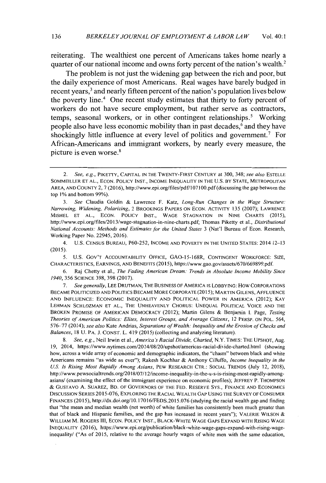reiterating. The wealthiest one percent of Americans takes home nearly a quarter of our national income and owns forty percent of the nation's wealth.<sup>2</sup>

The problem is not just the widening gap between the rich and poor, but the daily experience of most Americans. Real wages have barely budged in recent years,<sup>3</sup> and nearly fifteen percent of the nation's population lives below the poverty line.<sup>4</sup> One recent study estimates that thirty to forty percent of workers do not have secure employment, but rather serve as contractors, temps, seasonal workers, or in other contingent relationships.' Working people also have less economic mobility than in past decades, $6$  and they have shockingly little influence at every level of politics and government.' For African-Americans and immigrant workers, **by** nearly every measure, the picture is even worse.<sup>8</sup>

4. **U.S. CENSUS BUREAU, P60-252, INCOME AND** POVERTY **IN** THE **UNITED STATES:** 2014 **12-13 (2015).**

**5. U.S.** GoV'T ACCOUNTABILITY **OFFICE, GAO-15-168R, CONTINGENT** WORKFORCE: **SIZE,** CHARACTERISTICS, **EARNINGS, AND BENEFITS (2015),** https://www.gao.gov/assets/670/669899.pdf.

**6.** Raj Chetty et al., *The Fading American Dream: Trends in Absolute Income Mobility Since 1940, 356* **SCIENCE 398, 398 (2017).**

*7. See generally,* **LEE DRUTMAN,** THE **BUSINESS** OF AMERICA IS **LOBBYING:** How CORPORATIONS **BECAME** POLITICIZED **AND** POLITICS **BECAME** MORE CORPORATE **(2015);** MARTIN **GILENS, AFFLUENCE AND INFLUENCE:** ECONOMIC **INEQUALITY AND** POLITICAL POWER **IN** AMERICA (2012); KAY **LEHMAN SCHLOZMAN ET AL.,** THE **UNHEAVENLY CHORUS: UNEQUAL** POLITICAL **VOICE AND** THE BROKEN PROMISE OF **AMERICAN** DEMOCRACY (2012); Martin Gilens *&* Benjamin **1.** *Page, Testing Theories of American Politics: Elites, Interest Groups, and Average Citizens,* 12 PERSP. **ON** POL. 564, **576-77** (2014); *see also* Kate Andrias, *Separations of Wealth: Inequality and the Erosion of Checks and Balances,* **18 U.** PA. *J.* **CONST.** L. 419 **(2015)** (collecting and analyzing literature).

**8.** *See, e.g.,* Neil Irwin et al., *America's Racial Divide, Charted,* N.Y. TIMES: **THE UPSHOT,** Aug. **19,** 2014, https://www.nytimes.com/2014/08/20/upshot/americas-racial-divide-charted.html (showing how, across a wide array of economic and demographic indicators, the "chasm" between black and white Americans remains "as wide as ever"); Rakesh Kochhar *&* Anthony Cilluffo, *Income Inequality in the U.S. Is Rising Most Rapidly Among Asians,* PEW RESEARCH CTR.: **SOCIAL TRENDS** (July 12, **2018),** http://www.pewsocialtrends.org/2018/07/12/income-inequality-in-the-u-s-is-rising-most-rapidly-amongasians/ (examining the effect of the immigrant experience on economic profiles); JEFFREY P. **THOMPSON** *&* GUSTAVO **A.** SUAREZ, BD. OF GOVERNORS OF THE **FED.** RESERVE Sys., **FINANCE AND** ECONOMICS **DISCUSSION** SERIES **2015-076,** EXPLORING THE RACIAL WEALTH **GAP USING** THE SURVEY OF **CONSUMER FINANCES (2015),** http://dx.doi.org/10.17016/FEDS.2015.076 (studying the racial wealth gap and finding that "the mean and median wealth (net worth) of white families has consistently been much greater than that of black and Hispanic families, and the gap has increased in recent years"); VALERIE WILSON & WILLIAM M. ROGERS **111, ECON.** POLICY **INST.,** BLACK-WHITE **WAGE** GAPS EXPAND WITH **RISING WAGE INEQUALITY (2016),** https://www.epi.org/publication/black-white-wage-gaps-expand-with-rising-wageinequality/ ("As of **2015,** relative to the average hourly wages of white men with the same education,

<sup>2.</sup> *See, e.g.,* PIKETTY, **CAPITAL IN** THE TWENTY-FIRST CENTURY *at* **300,** 348; *see also* **ESTELLE** SOMMEILLER **ET AL., ECON.** POLICY **INST., INCOME INEQUALITY IN** THE **U.S.** BY **STATE,** METROPOLITAN AREA, **AND COUNTY** 2, *7* **(2016),** http://www.epi.org/files/pdf/I **071 00.pdf** (discussing the gap between the top **1%** and bottom **99%).**

**<sup>3.</sup>** *See* Claudia Goldin **&** Lawrence F. Katz, *Long-Run Changes in the Wage Structure: Narrowing, Widening, Polarizing,* 2 BROOKINGS PAPERS **ON ECON.** ACTIVITY **135 (2007);** LAWRENCE **MISHEL** ET **AL., ECON.** POLICY **INST., WAGE STAGNATION IN NINE** CHARTS **(2015),** http://www.epi.org/files/2013/wage-stagnation-in-nine-charts.pdf; Thomas Piketty et al., *Distributional National Accounts: Methods and Estimates for the United States 3 (Nat'l Bureau of Econ. Research,* Working Paper No. 22945, **2016).**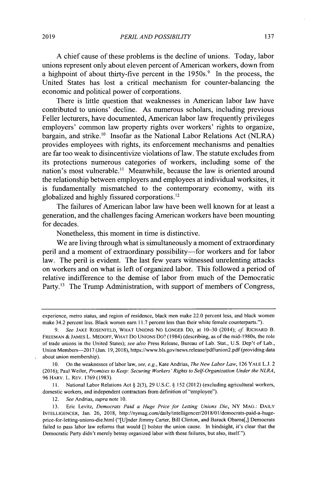**A** chief cause of these problems is the decline of unions. Today, labor unions represent only about eleven percent of American workers, down from a highpoint of about thirty-five percent in the  $1950s$ <sup>9</sup>. In the process, the United States has lost a critical mechanism for counter-balancing the economic and political power of corporations.

There is little question that weaknesses in American labor law have contributed to unions' decline. As numerous scholars, including previous Feller lecturers, have documented, American labor law frequently privileges employers' common law property rights over workers' rights to organize, bargain, and strike.<sup>10</sup> Insofar as the National Labor Relations Act (NLRA) provides employees with rights, its enforcement mechanisms and penalties are far too weak to disincentivize violations of law. The statute excludes from its protections numerous categories of workers, including some of the nation's most vulnerable.<sup>11</sup> Meanwhile, because the law is oriented around the relationship between employers and employees at individual worksites, it is fundamentally mismatched to the contemporary economy, with its globalized and highly fissured corporations.<sup>12</sup>

The failures of American labor law have been well known for at least a generation, and the challenges facing American workers have been mounting for decades.

Nonetheless, this moment in time is distinctive.

We are living through what is simultaneously a moment of extraordinary peril and a moment of extraordinary possibility-for workers and for labor law. The peril is evident. The last few years witnessed unrelenting attacks on workers and on what is left of organized labor. This followed a period of relative indifference to the demise of labor from much of the Democratic Party.<sup>13</sup> The Trump Administration, with support of members of Congress,

**11.** National Labor Relations Act **§ 2(3), 29 U.S.C. § 152** (2012) (excluding agricultural workers, domestic workers, and independent contractors from definition of "employee").

12. *See Andrias, supra* note **10.**

experience, metro status, and region of residence, black men make 22.0 percent less, and black women make 34.2 percent less. Black women earn **11.7** percent less than their white female counterparts.").

**<sup>9.</sup>** See **JAKE ROSENFELD,** WHAT UNIONS NO **LONGER** DO, at **10-30** (2014); cf RICHARD B. **FREEMAN** *&* JAMES L. MEDOFF, WHAT DO **UNIONS Do?** (1984) (describing, as of the mid-1980s, the role of trade unions in the United States); see *also* Press Release, Bureau of Lab. Stat., **U.S.** Dep't of Lab., Union Members-2017 (Jan. **19, 2018),** https://www.bls.gov/news.release/pdf/union2.pdf (providing data about union membership).

**<sup>10.</sup>** On the weaknesses of labor law, *see, e.g.,* Kate Andrias, *The New Labor Law,* **126** YALE **L.J.** 2 **(2016);** Paul Weiler, *Promises to Keep: Securing Workers'Rights to Self-Organization Under the NLRA,* **96** HARV. L. REV. **1769 (1983).**

**<sup>13.</sup>** Eric **Levitz,** *Democrats Paid a Huge Price for Letting Unions Die,* NY **MAG.:** DAILY **INTELLIGENCER,** Jan. **26, 2018,** http://nymag.com/daily/intelligencer/2018/01/democrats-paid-a-hugeprice-for-letting-unions-die.html ("[U]nder Jimmy Carter, Bill Clinton, and Barack Obama[,] Democrats failed to pass labor law reforms that would **[]** bolster the union cause. In hindsight, it's clear that the Democratic Party didn't merely betray organized labor with these failures, but also, itself").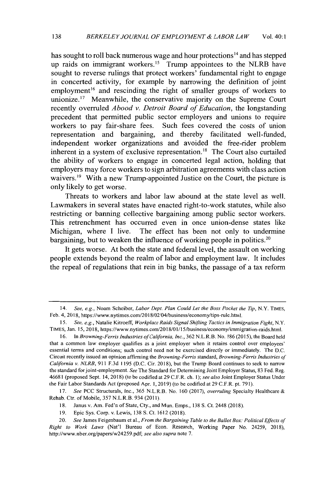has sought to roll back numerous wage and hour protections<sup> $14$ </sup> and has stepped up raids on immigrant workers.<sup>15</sup> Trump appointees to the NLRB have sought to reverse rulings that protect workers' fundamental right to engage in concerted activity, for example **by** narrowing the definition of joint employment<sup>16</sup> and rescinding the right of smaller groups of workers to unionize.<sup>17</sup> Meanwhile, the conservative majority on the Supreme Court recently overruled *Abood v. Detroit Board of Education,* the longstanding precedent that permitted public sector employers and unions to require workers to pay fair-share fees. Such fees covered the costs of union representation and bargaining, and thereby facilitated well-funded, independent worker organizations and avoided the free-rider problem inherent in a system of exclusive representation." The Court also curtailed the ability of workers to engage in concerted legal action, holding that employers may force workers to sign arbitration agreements with class action waivers.<sup>19</sup> With a new Trump-appointed Justice on the Court, the picture is only likely to get worse.

Threats to workers and labor law abound at the state level as well. Lawmakers in several states have enacted right-to-work statutes, while also restricting or banning collective bargaining among public sector workers. This retrenchment has occurred even in once union-dense states like Michigan, where **I** live. The effect has been not only to undermine bargaining, but to weaken the influence of working people in politics.<sup>20</sup>

It gets worse. At both the state and federal level, the assault on working people extends beyond the realm of labor and employment law. It includes the repeal of regulations that rein **in big** banks, the passage of a tax reform

<sup>14.</sup> See, e.g., Noam Scheiber, *Labor Dept. Plan Could Let the Boss Pocket the Tip,* N.Y. TIMES, Feb. 4, **2018,** https://www.nytimes.com/2018/02/04/business/economy/tips-rule.html.

**<sup>15.</sup>** *See, e.g.,* Natalie Kitroeff, *Workplace Raids Signal Shifting Tactics in Immigration Fight,* N.Y. TtMES, Jan. **15, 2018,** https://www.nytimes.com/2018/01/15/business/economy/immigration-raids.html.

**<sup>16.</sup>** *In Browning-Ferris Industries ofCalifornia, Inc.,* **362** N.L.R.B. No. **186 (2015),** the Board held that a common law employer qualifies as a joint employer when it retains control over employees' essential terms and conditions; such control need not be exercised directly or immediately. The **D.C.** Circuit recently issued an opinion affirming the *Browning-Ferris standard, Browning-Ferris Industries of California v. NLRB,* **911 F.3d 1195 (D.C.** Cir. **2018),** but the Trump Board continues to seek to narrow the standard for joint-employment. *See* The Standard for Determining Joint Employer Status, **83** Fed. Reg. **46681** (proposed Sept. 14, **2018)** (to be codified at **29** C.F.R. ch. *1); see also* Joint Employer Status Under the Fair Labor Standards Act (proposed Apr. **1, 2019)** (to be codified at **29** C.F.R. pt. **791).**

**<sup>17.</sup>** *See* **PCC** Structurals, Inc., **365** N.L.R.B. No. **160 (2017),** *overruling* Specialty Healthcare Rehab. Ctr. of Mobile, **357** N.L.R.B. 934 **(2011).**

**<sup>18.</sup>** Janus v. Am. Fed'n of State, Cty., and Mun. Emps., **138 S.** Ct. 2448 **(2018).**

**<sup>19.</sup>** Epic Sys. Corp. v. Lewis, **138 S.** Ct. **1612 (2018).**

<sup>20.</sup> *See* James Feigenbaum et al., *From the Bargaining Table to the Ballot Box: Political Effects of Right to Work Laws* (Nat'l Bureau of Econ. Research, Working Paper No. 24259, **2018),** http://www.nber.org/papers/w24259.pdf; *see also supra* note **7.**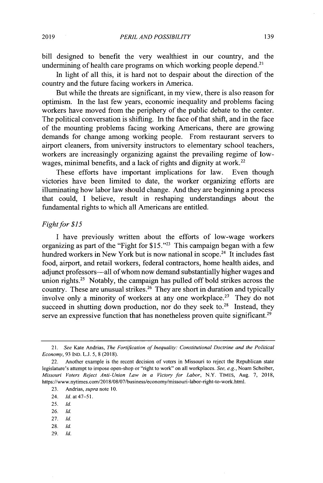bill designed to benefit the very wealthiest in our country, and the undermining of health care programs on which working people depend. $2<sup>1</sup>$ 

In light of all this, it is hard not to despair about the direction of the country and the future facing workers in America.

But while the threats are significant, in my view, there is also reason for optimism. In the last few years, economic inequality and problems facing workers have moved from the periphery of the public debate to the center. The political conversation is shifting. In the face of that shift, and in the face of the mounting problems facing working Americans, there are growing demands for change among working people. From restaurant servers to airport cleaners, from university instructors to elementary school teachers, workers are increasingly organizing against the prevailing regime of lowwages, minimal benefits, and a lack of rights and dignity at work.<sup>22</sup>

These efforts have important implications for law. Even though victories have been limited to date, the worker organizing efforts are illuminating how labor law should change. And they are beginning a process that could, **I** believe, result in reshaping understandings about the fundamental rights to which all Americans are entitled.

#### *Fight* for *\$15*

I have previously written about the efforts of low-wage workers organizing as part of the "Fight for **\$15."23** This campaign began with a few hundred workers in New York but is now national in scope.<sup>24</sup> It includes fast food, airport, and retail workers, federal contractors, home health aides, and adjunct professors-all of whom now demand substantially higher wages and union rights.<sup>25</sup> Notably, the campaign has pulled off bold strikes across the country. These are unusual strikes.<sup>26</sup> They are short in duration and typically involve only a minority of workers at any one workplace.<sup>27</sup> They do not succeed in shutting down production, nor do they seek to.<sup>28</sup> Instead, they serve an expressive function that has nonetheless proven quite significant.<sup>29</sup>

- **25.** *Id.*
- **26.** *Id.*
- **27.** *Id.*
- **28.** *Id.*
- **29.** Id.

<sup>21.</sup> See Kate Andrias, *The Fortification of Inequality: Constitutional Doctrine and the Political Economy,* **93 IND. L.J. 5, 8 (2018).**

<sup>22.</sup> Another example is the recent decision of voters in Missouri to reject the Republican state legislature's attempt to impose open-shop or "right to work" on all workplaces. *See, e.g.,* Noam Scheiber, *Missouri Voters Reject Anti-Union Law in a Victory for Labor,* N.Y. **TIMES,** Aug. **7, 2018,** https://www.nytimes.com/2018/08/07/business/economy/missouri-labor-right-to-work.html.

**<sup>23.</sup>** Andrias, *supra* note **10.**

<sup>24.</sup> *Id. at 47-51.*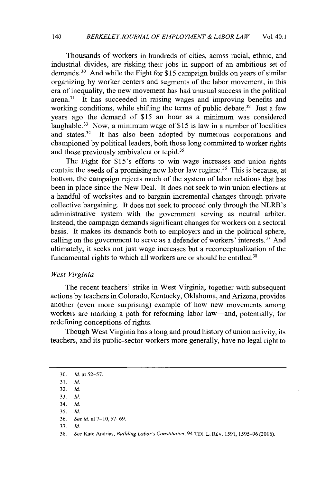Thousands of workers in hundreds of cities, across racial, ethnic, and industrial divides, are risking their jobs in support of an ambitious set of demands.<sup>30</sup>And while the Fight for **\$15** campaign builds on years of similar organizing **by** worker centers and segments of the labor movement, in this era of inequality, the new movement has had unusual success in the political  $\alpha$ <sup>31</sup> It has succeeded in raising wages and improving benefits and working conditions, while shifting the terms of public debate.<sup>32</sup> Just a few years ago the demand of *\$15* an hour as a minimum was considered laughable.<sup>33</sup> Now, a minimum wage of \$15 is law in a number of localities and states.<sup>34</sup> It has also been adopted by numerous corporations and championed **by** political leaders, both those long committed to worker rights and those previously ambivalent or tepid.<sup>35</sup>

The Fight for \$15's efforts to win wage increases and union rights contain the seeds of a promising new labor law regime.<sup>36</sup> This is because, at bottom, the campaign rejects much of the system of labor relations that has been in place since the New Deal. It does not seek to win union elections at a handful of worksites and to bargain incremental changes through private collective bargaining. It does not seek to proceed only through the NLRB's administrative system with the government serving as neutral arbiter. Instead, the campaign demands significant changes for workers on a sectoral basis. It makes its demands both to employers and in the political sphere, calling on the government to serve as a defender of workers' interests. $37$  And ultimately, it seeks not just wage increases but a reconceptualization of the fundamental rights to which all workers are or should be entitled.<sup>38</sup>

#### *West Virginia*

The recent teachers' strike in West Virginia, together with subsequent actions **by** teachers in Colorado, Kentucky, Oklahoma, and Arizona, provides another (even more surprising) example of how new movements among workers are marking a path for reforming labor law-and, potentially, for redefining conceptions of rights.

Though West Virginia has a long and proud history of union activity, its teachers, and its public-sector workers more generally, have no legal right to

**35.** *Id.*

**37.** *Id.*

**<sup>30.</sup>** *Id. at 52-57.* **31.** *Id.*

**<sup>32.</sup>** *Id.*

**<sup>33.</sup>** *Id.*

<sup>34.</sup> *Id.*

**<sup>36.</sup>** *See id. at* **7-10,** *57-69.*

**<sup>38.</sup>** *See* Kate Andrias, *Building Labor's Constitution, 94* TEX. L. REv. **1591, 1595-96 (2016).**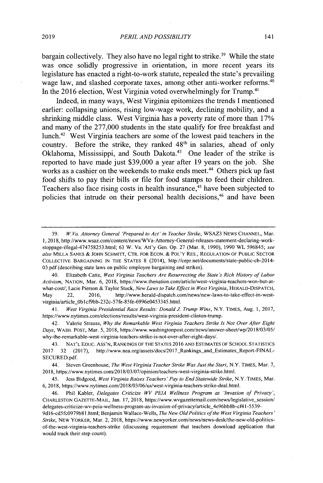bargain collectively. They also have no legal right to strike.<sup>39</sup> While the state was once solidly progressive in orientation, in more recent years its legislature has enacted a right-to-work statute, repealed the state's prevailing wage law, and slashed corporate taxes, among other anti-worker reforms.<sup>40</sup> In the **2016** election, West Virginia voted overwhelmingly for Trump.<sup>4</sup>

Indeed, in many ways, West Virginia epitomizes the trends **I** mentioned earlier: collapsing unions, rising low-wage work, declining mobility, and a shrinking middle class. West Virginia has a poverty rate of more than **17%** and many of the **277,000** students in the state qualify for free breakfast and lunch.<sup>42</sup> West Virginia teachers are some of the lowest paid teachers in the country. Before the strike, they ranked 48<sup>th</sup> in salaries, ahead of only Oklahoma, Mississippi, and South Dakota.<sup>43</sup> One leader of the strike is reported to have made just **\$39,000** a year after **19** years on the job. She works as a cashier on the weekends to make ends meet.<sup>44</sup> Others pick up fast food shifts to pay their bills or file for food stamps to feed their children. Teachers also face rising costs in health insurance,<sup>45</sup> have been subjected to policies that intrude on their personal health decisions, $46$  and have been

41. West Virginia Presidential Race Results: Donald *J.* Trump Wins, N.Y. TIMES, Aug. **1, 2017,** https://www.nytimes.com/elections/results/west-virginia-president-clinton-trump.

42. Valerie Strauss, **Why** the Remarkable West Virginia Teachers Strike Is Not Over After Eight Days, WASH. **POST,** Mar. **5, 2018,** https://www.washingtonpost.com/news/answer-sheet/wp/2018/03/05/ why-the-remarkable-west-virginia-teachers-strike-is-not-over-after-eight-days/.

44. Steven Greenhouse, The West Virginia Teacher Strike Was Just the Start, N.Y. **TIMES,** Mar. **7, 2018,** https://www.nytimes.com/2018/03/07/opinion/teachers-west-virginia-strike.html.

45. Jess Bidgood, West Virginia Raises Teachers' Pay to End Statewide Strike, N.Y. **TIMES,** Mar. **6, 2018,** https://www.nytimes.com/2018/03/06/us/west-virginia-teachers-strike-deal.html.

9d16-cd5fc0979b81.html; Benjamin Wallace-Wells, The New Old Politics of the West Virginia Teachers' Strike, **NEW** YORKER, Mar. 2, **2018,** https://www.newyorker.com/news/news-desk/the-new-old-politicsof-the-west-virginia-teachers-strike (discussing requirement that teachers download application that would track their step count).

**<sup>39.</sup>** W. Va. Attorney General 'Prepared to Act' in Teacher Strike, WSAZ3 **NEWS CHANNEL,** Mar. **1, 2018,** http://www.wsaz.com/content/news/WVa-Attomey-General-releases-statement-declaring-workstoppage-illegal-474758253.html; **63** W. Va. Att'y Gen. **Op. 27** (Mar. **8, 1990), 1990** WL **596845;** see also MILLA **SANES & JOHN** SCHMITr, CTR. FOR **ECON. &** POL'Y RES., **REGULATION** OF **PUBLIC** SECTOR COLLECTIVE **BARGAINING IN** THE STATES **8** (2014), http://cepr.net/documents/state-public-cb-2014- **03.pdf** (describing state laws on public employee bargaining and strikes).

<sup>40.</sup> Elizabeth Catte, West Virginia Teachers Are Resurrecting the State's Rich History of Labor Activism, **NATION,** Mar. **6,** 2018, https://www.thenation.com/article/west-virginia-teachers-won-but-atwhat-cost/; Lacie Pierson **&** Taylor Stuck, New Laws to Take Effect in West Virginia, **HERALD-DISPATCH,** May 22, **2016,** http://www.herald-dispatch.com/news/new-laws-to-take-effect-in-westvirginia/article\_0b1cf9bb-232c-57fe-85fe-6996e0453345.html.

<sup>43.</sup> **NAT'L EDUC.** Ass'N, **RANKINGS** OF THE STATES **2016 AND ESTIMATES** OF **SCHOOL STATISTICS** 2017 32 (2017), http://www.nea.org/assets/docs/2017\_Rankings\_and\_Estimates\_Report-FINAL-**SECURED.pdf.**

<sup>46.</sup> Phil Kabler, Delegates Criticize WV **PEJA** Wellness Program as 'Invasion of Privacy', **CHARLESTON GAZETTE-MAIL,** Jan. **17, 2018,** https://www.wvgazettemail.com/news/legislative-session/ delegates-criticize-wv-peia-wellness-program-as-invasion-of-privacy/article\_4e96bb8b-cf4l-5539-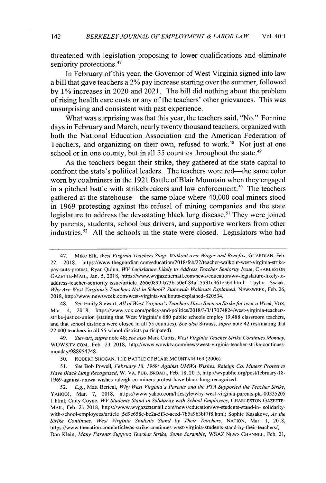threatened with legislation proposing to lower qualifications and eliminate seniority protections.<sup>47</sup>

In February of this year, the Governor of West Virginia signed into law a bill that gave teachers a 2% pay increase starting over the summer, followed **by 1%** increases **in** 2020 and **2021.** The bill did nothing about the problem of rising health care costs or any of the teachers' other grievances. This was unsurprising and consistent with past experience.

What was surprising was that this year, the teachers said, "No." For nine days in February and March, nearly twenty thousand teachers, organized with both the National Education Association and the American Federation of Teachers, and organizing on their own, refused to work.<sup>48</sup> Not just at one school or in one county, but in all 55 counties throughout the state.<sup>49</sup>

As the teachers began their strike, they gathered at the state capital to confront the state's political leaders. The teachers wore red—the same color worn **by** coalminers in the **1921** Battle of Blair Mountain when they engaged in a pitched battle with strikebreakers and law enforcement.<sup>50</sup> The teachers gathered at the statehouse-the same place where 40,000 coal miners stood in **1969** protesting against the refusal of mining companies and the state legislature to address the devastating black lung disease.<sup>51</sup> They were joined **by** parents, students, school bus drivers, and supportive workers from other industries.<sup>52</sup>**All** the schools in the state were closed. Legislators who had

<sup>47.</sup> Mike Elk, *West Virginia Teachers Stage Walkout over Wages and Benefits*, GUARDIAN, Feb. 22, **2018,** https://www.theguardian.com/education/2018/feb/22/teacher-walkout-west-virginia-strikepay-cuts-protest; Ryan Quinn, *WV Legislature Likely to Address Teacher Seniority Issue,* **CHARLESTON** GAZETTE-MAIL, Jan. *5,* **2018,** https://www.wvgazettemail.com/news/education/wv-legislature-likely-toaddress-teacher-seniority-issue/article266e0899-b73b-50ef-84af-553Ic961c56d.html; Taylor Swaak, *Why Are West Virginia's Teachers Not in School? Statewide Walkouts Explained,* NEWSWEEK, Feb. **26, 2018,** http://www.newsweek.com/west-virginia-walkouts-explained-820534.

<sup>48.</sup> *See* **Emily** Stewart, *All of West Virginia's Teachers Have Been on Strike for over a Week, Vox,* Mar. 4, **2018,** https://www.vox.com/policy-and-politics/2018/3/3/17074824/west-virginia-teachersstrike-justice-union (stating that West Virginia's **680** public schools employ **19,488** classroom teachers, and that school districts were closed in all **55** counties). *See also Strauss, supra* note 42 (estimating that 22,000 teachers in all **55** school districts participated).

<sup>49.</sup> *Stewart, supra* note 48; *see also* Mark Curtis, *West Virginia Teacher Strike Continues Monday,* WOWKTv.cOM, Feb. **23 2018,** http://www.wowktv.com/news/west-virginia-teacher-strike-continuesmonday/988954748.

**<sup>50.</sup>** ROBERT **SHOGAN,** THE BATTLE OF BLAIR MOUNTAIN **169 (2006).**

**<sup>51.</sup>** *See* Bob Powell, *February 18, 1969: Against UMWA Wishes, Raleigh Co. Miners Protest to Have Black Lung Recognized,* W. VA. **PUB.** BROAD., Feb. **18, 2015,** http://wvpublic.org/post/february-18- 1969-against-umwa-wishes-raleigh-co-miners-protest-have-black-lung-recognized.

**<sup>52.</sup>** *E.g.,* Matt Berical, *Why West Virginia's Parents and the PTA Supported the Teacher Strike, YAHOO!,* Mar. **7, 2018,** https://www.yahoo.com/lifestyle/why-west-virginia-parents-pta-00335205 I.html; Caity Coyne, *WV Students Stand in Solidarity with School Employees,* **CHARLESTON GAZETTE-**MAIL, Feb. 21 **2018,** https://www.wvgazettemail.com/news/education/wv-students-stand-in- solidaritywith-school-employees/article\_5d9e658c-be2a-5f3c-aced-7b5a963bf7f8.html; Sophie Kasakove, *As the Strike Continues, West Virginia Students Stand by Their Teachers,* **NATION,** Mar. **1, 2018,** https://www.thenation.com/article/as-strike-continues-west-virginia-students-stand-by-their-teachers/; Dan Klein, *Many Parents Support Teacher Strike, Some Scramble,* WSAZ **NEWS CHANNEL,** Feb. 21,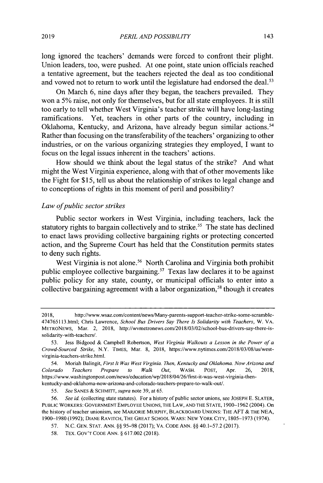long ignored the teachers' demands were forced to confront their plight. Union leaders, too, were pushed. At one point, state union officials reached a tentative agreement, but the teachers rejected the deal as too conditional and vowed not to return to work until the legislature had endorsed the deal.<sup>53</sup>

On March **6,** nine days after they began, the teachers prevailed. They won a *5%* raise, not only for themselves, but for all state employees. It is still too early to tell whether West Virginia's teacher strike will have long-lasting ramifications. Yet, teachers in other parts of the country, including in Oklahoma, Kentucky, and Arizona, have already begun similar actions. <sup>5</sup><sup>4</sup> Rather than focusing on the transferability of the teachers' organizing to other industries, or on the various organizing strategies they employed, **I** want to focus on the legal issues inherent in the teachers' actions.

How should we think about the legal status of the strike? And what might the West Virginia experience, along with that of other movements like the Fight for *\$15,* tell us about the relationship of strikes to legal change and to conceptions of rights in this moment of peril and possibility?

#### *Law ofpublic sector strikes*

Public sector workers in West Virginia, including teachers, lack the statutory rights to bargain collectively and to strike.<sup>55</sup> The state has declined to enact laws providing collective bargaining rights or protecting concerted action, and the Supreme Court has held that the Constitution permits states to deny such rights.

West Virginia is not alone.<sup>56</sup> North Carolina and Virginia both prohibit public employee collective bargaining.<sup>57</sup> Texas law declares it to be against public policy for any state, county, or municipal officials to enter into a collective bargaining agreement with a labor organization,<sup>58</sup> though it creates

**55.** *See* **SANES & SCHMITT,** *supra* note **39,** at **65.**

**<sup>2018,</sup>** http://www.wsaz.com/content/news/Many-parents-support-teacher-strike-some-scramble-474765113.html; Chris Lawrence, *School Bus Drivers Say There Is Solidarity with Teachers,* W. VA. METRONEWS, Mar. 2, **2018,** http://wvmetronews.com/2018/03/02/school-bus-drivers-say-there-issolidarity-with-teachers/.

**<sup>53.</sup>** Jess Bidgood **&** Campbell Robertson, *West Virginia Walkouts a Lesson in the Power of a Crowd-Sourced Strike,* N.Y. **TIMES,** Mar. **8, 2018,** https://www.nytimes.com/2018/03/08/us/westvirginia-teachers-strike.html.

<sup>54.</sup> Moriah Balingit, *First It Was West Virginia. Then, Kentucky and Oklahoma. Now Arizona and Colorado Teachers Prepare to Walk Out,* WASH. **POST,** Apr. **26, 2018,** https://www.washingtonpost.com/news/education/wp/2018/04/26/first-it-was-west-virginia-thenkentucky-and-oklahoma-now-arizona-and-colorado-teachers-prepare-to-walk-out/.

**<sup>56.</sup>** *See id.* (collecting state statutes). For a history of public sector unions, see **JOSEPH E.** SLATER, **PUBLIC** WORKERS: GOVERNMAENT EMPLOYEE **UNIONS,** THE LAW, **AND** THE **STATE, 1900-1962** (2004). On the history of teacher unionism, see MARJORIE MURPHY, BLACKBOARD UNIONS: THE **AFT &** THE **NEA, 1900-1980 (1992);** DIANE RAVITCH, THE GREAT **SCHOOL** WARS: **NEW** YORK CITY, **1805-1973** (1974).

**<sup>57.</sup> N.C. GEN. STAT. ANN.** *§§* **95-98 (2017);** VA. **CODE ANN.** *§§* 40.1-57.2 **(2017).**

**<sup>58.</sup>** TEX. Gov'T **CODE ANN.** *§* **617.002 (2018).**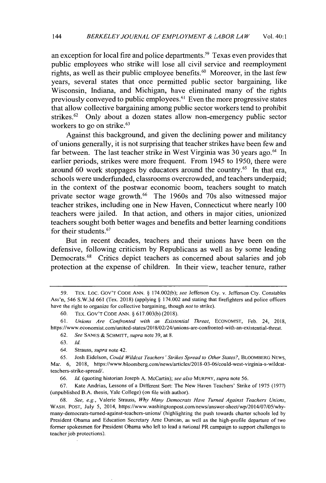an exception for local fire and police departments.<sup>59</sup> Texas even provides that public employees who strike will lose all civil service and reemployment rights, as well as their public employee benefits.<sup>60</sup> Moreover, in the last few years, several states that once permitted public sector bargaining, like Wisconsin, Indiana, and Michigan, have eliminated many of the rights previously conveyed to public employees.<sup>61</sup> Even the more progressive states that allow collective bargaining among public sector workers tend to prohibit strikes.<sup>62</sup> Only about a dozen states allow non-emergency public sector workers to go on strike.<sup>63</sup>

Against this background, and given the declining power and militancy of unions generally, it is not surprising that teacher strikes have been few and far between. The last teacher strike in West Virginia was 30 years ago.<sup>64</sup> In earlier periods, strikes were more frequent. From 1945 to *1950,* there were around 60 work stoppages by educators around the country.<sup>65</sup> In that era, schools were underfunded, classrooms overcrowded, and teachers underpaid; in the context of the postwar economic boom, teachers sought to match private sector wage growth.<sup>66</sup> The 1960s and 70s also witnessed major teacher strikes, including one in New Haven, Connecticut where nearly **100** teachers were jailed. In that action, and others **in** major cities, unionized teachers sought both better wages and benefits and better learning conditions for their students. <sup>6</sup><sup>7</sup>

But in recent decades, teachers and their unions have been on the defensive, following criticism **by** Republicans as well as **by** some leading Democrats.<sup>68</sup> Critics depict teachers as concerned about salaries and job protection at the expense of children. In their view, teacher tenure, rather

**65.** Josh Eidelson, *Could Wildcat Teachers' Strikes Spread to Other States?,* BLOOMBERG **NEWS,** Mar. **6, 2018,** https://www.bloomberg.com/news/articles/2018-03-06/could-west-virginia-s-wildcatteachers-strike-spread/.

**67.** Kate Andrias, Lessons of a Different Sort: The New Haven Teachers' Strike of **1975 (1977)** (unpublished B.A. thesis, Yale College) (on file with author).

*<sup>59.</sup>* TEX. LOc. Gov'T **CODE ANN. § 174.002(b);** *see* Jefferson Cty. v. Jefferson Cty. Constables Ass'n, 546 **S.W.3d 661** (Tex. **2018)** (applying **§** 174.002 and stating that firefighters and police officers have the right to organize for collective bargaining, though *not* to strike).

**<sup>60.</sup>** TEX. Gov'T **CODE ANN. § 617.003(b) (2018).**

**<sup>61.</sup>** *Unions Are Confronted with an Existential Threat,* **ECONOMIST,** Feb. 24, **2018,** https://www.economist.com/united-states/2018/02/24/unions-are-confronted-with-an-existential-threat.

**<sup>62.</sup>** *See* **SANES &** SCHMITT, *supra* note **39,** at **8.**

**<sup>63.</sup>** *Id.*

<sup>64.</sup> Strauss, *supra* note 42.

**<sup>66.</sup>** *Id.* (quoting historian Joseph **A.** McCartin); *see also MURPHY, supra* note **56.**

**<sup>68.</sup>** *See, e.g.,* Valerie Strauss, *Why Many Democrats Have Turned Against Teachers Unions,* WASH. **POST,** July *5,* 2014, https://www.washingtonpost.com/news/answer-sheet/wp/2014/07/05/whymany-democrats-turned-against-teachers-unions/ (highlighting the push towards charter schools led **by** President Obama and Education Secretary Arne Duncan, as well as the high-profile departure of two former spokesmen for President Obama who left to lead a national PR campaign to support challenges to teacher job protections).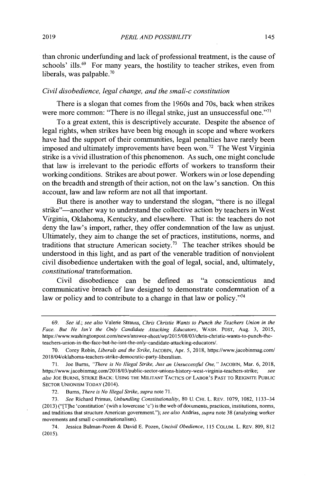than chronic underfunding and lack of professional treatment, is the cause of schools' ills.<sup>69</sup> For many years, the hostility to teacher strikes, even from liberals, was palpable.<sup>70</sup>

### *Civil disobedience, legal change, and the small-c constitution*

There is a slogan that comes from the 1960s and 70s, back when strikes were more common: "There is no illegal strike, just an unsuccessful one."<sup>71</sup>

To a great extent, this is descriptively accurate. Despite the absence of legal rights, when strikes have been big enough in scope and where workers have had the support of their communities, legal penalties have rarely been imposed and ultimately improvements have been won.<sup>72</sup> The West Virginia strike is a vivid illustration of this phenomenon. As such, one might conclude that law is irrelevant to the periodic efforts of workers to transform their working conditions. Strikes are about power. Workers win or lose depending on the breadth and strength of their action, not on the law's sanction. On this account, law and law reform are not all that important.

But there is another way to understand the slogan, "there is no illegal strike"-another way to understand the collective action **by** teachers in West Virginia, Oklahoma, Kentucky, and elsewhere. That is: the teachers do not deny the law's import, rather, they offer condemnation of the law as unjust. Ultimately, they aim to change the set of practices, institutions, norms, and traditions that structure American society.<sup>73</sup> The teacher strikes should be understood in this light, and as part of the venerable tradition of nonviolent civil disobedience undertaken with the goal of legal, social, and, ultimately, *constitutional* transformation.

Civil disobedience can be defined as "a conscientious and communicative breach of law designed to demonstrate condemnation of a law or policy and to contribute to a change in that law or policy."<sup>74</sup>

**72.** Bums, *There is No Illegal Strike, supra* note **71.**

*<sup>69.</sup> See id.; see also* Valerie Strauss, *Chris Christie Wants to Punch the Teachers Union in the Face. But He Isn't the Only Candidate Attacking Educators,* **WASH. POST,** Aug. **3, 2015,** https://www.washingtonpost.com/news/answer-sheet/wp/2015/08/03/chris-christie-wants-to-punch-theteachers-union-in-the-face-but-he-isnt-the-only-candidate-attacking-educators/.

**<sup>70.</sup>** Corey Robin, *Liberals and the Strike,* **JACOBIN,** Apr. *5,* **2018,** https://www.jacobinmag.com/ 2018/04/oklahoma-teachers-strike-democratic-party-liberalism.

**<sup>71.</sup>** Joe Bums, *"There is No Illegal Strike, Just an Unsuccessful One,"* **JACOBIN,** Mar. **6, 2018,** https://www.jacobinmag.com/2018/03/public-sector-unions-history-west-virginia-teachers-strike; *see also* **JOE** BURNS, STRIKE BACK: USING THE **MILITANT TACTICS** OF LABOR'S **PAST** TO **REIGNITE PUBLIC** SECTOR UNIONISM TODAY (2014).

**<sup>73.</sup>** *See* Richard Primus, *Unbundling Constitutionality,* **80 U.** CHI. L. REv. **1079, 1082,** 1133-34 **(2013)** ("[T]he 'constitution' (with a lowercase **'c')** is the web of documents, practices, institutions, norms, and traditions that structure American government."); *see also Andrias, supra* note **38** (analyzing worker movements and small c-constitutionalism).

<sup>74.</sup> Jessica Bulman-Pozen **&** David **E.** Pozen, *Uncivil Obedience, 115* **COLUM.** L. REv. **809, 812 (2015).**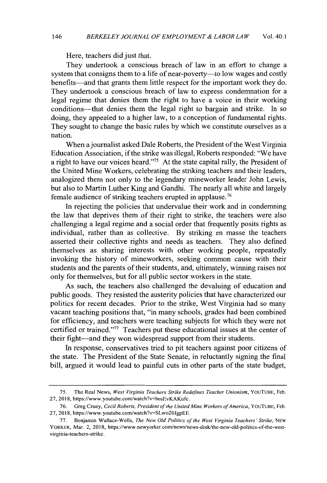Here, teachers did just that.

They undertook a conscious breach of law in an effort to change a system that consigns them to a life of near-poverty-to low wages and costly benefits-and that grants them little respect for the important work they do. They undertook a conscious breach of law to express condemnation for a legal regime that denies them the right to have a voice in their working conditions-that denies them the legal right to bargain and strike. In so doing, they appealed to a higher law, to a conception of fundamental rights. They sought to change the basic rules **by** which we constitute ourselves as a nation.

When a journalist asked Dale Roberts, the President of the West Virginia Education Association, if the strike was illegal, Roberts responded: "We have a right to have our voices heard."<sup>75</sup> At the state capital rally, the President of the United Mine Workers, celebrating the striking teachers and their leaders, analogized them not only to the legendary mineworker leader John Lewis, but also to Martin Luther King and Gandhi. The nearly all white and largely female audience of striking teachers erupted **in** applause.

In rejecting the policies that undervalue their work and in condemning the law that deprives them of their right to strike, the teachers were also challenging a legal regime and a social order that frequently posits rights as individual, rather than as collective. **By** striking en masse the teachers asserted their collective rights and needs as teachers. They also defined themselves as sharing interests with other working people, repeatedly invoking the history of mineworkers, seeking common cause with their students and the parents of their students, and, ultimately, winning raises not only for themselves, but for all public sector workers in the state.

As such, the teachers also challenged the devaluing of education and public goods. They resisted the austerity policies that have characterized our politics for recent decades. Prior to the strike, West Virginia had so many vacant teaching positions that, **"in** many schools, grades had been combined for efficiency, and teachers were teaching subjects for which they were not certified or trained."<sup>77</sup> Teachers put these educational issues at the center of their fight-and they won widespread support from their students.

In response, conservatives tried to pit teachers against poor citizens of the state. The President of the State Senate, in reluctantly signing the final bill, argued it would lead to painful cuts in other parts of the state budget,

*<sup>75.</sup>* The Real News, *West Virginia Teachers Strike Redefines Teacher Unionism,* YOUTUBE, Feb. **27, 2018,** https://www.youtube.com/watch?v-hesEvKAKufc.

<sup>76.</sup> Greg Cruey, *Cecil Roberts, President of the United Mine Workers of America*, YOUTUBE, Feb. **27, 2018,** https://www.youtube.com/watch?v-SLwo20JgpEE.

**<sup>77.</sup>** Benjamin Wallace-Wells, *The New Old Politics of the West Virginia Teachers' Strike,* **NEW** YORKER, Mar. 2, **2018,** https://www.newyorker.com/news/news-desk/the-new-old-politics-of-the-westvirginia-teachers-strike.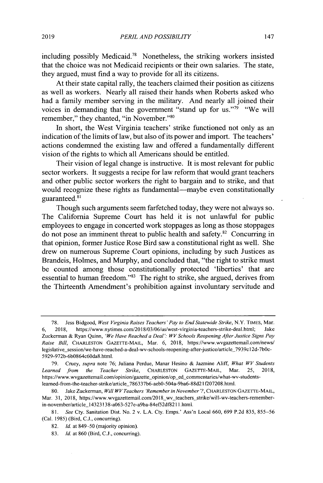including possibly Medicaid.<sup>78</sup> Nonetheless, the striking workers insisted that the choice was not Medicaid recipients or their own salaries. The state, they argued, must find a way to provide for all its citizens.

At their state capital rally, the teachers claimed their position as citizens as well as workers. Nearly all raised their hands when Roberts asked who had a family member serving in the military. And nearly all joined their voices in demanding that the government "stand up for us."<sup>79</sup> "We will remember," they chanted, "in November."<sup>80</sup>

In short, the West Virginia teachers' strike functioned not only as an indication of the limits of law, but also of its power and import. The teachers' actions condemned the existing law and offered a fundamentally different vision of the rights to which all Americans should be entitled.

Their vision of legal change is instructive. It is most relevant for public sector workers. It suggests a recipe for law reform that would grant teachers and other public sector workers the right to bargain and to strike, and that would recognize these rights as fundamental—maybe even constitutionally guaranteed.<sup>81</sup>

Though such arguments seem farfetched today, they were not always so. The California Supreme Court has held it is not unlawful for public employees to engage in concerted work stoppages as long as those stoppages do not pose an imminent threat to public health and safety.<sup>82</sup> Concurring in that opinion, former Justice Rose Bird saw a constitutional right as well. She drew on numerous Supreme Court opinions, including **by** such Justices as Brandeis, Holmes, and Murphy, and concluded that, "the right to strike must be counted among those constitutionally protected 'liberties' that are essential to human freedom."<sup>83</sup> The right to strike, she argued, derives from the Thirteenth Amendment's prohibition against involuntary servitude and

**<sup>78.</sup>** Jess Bidgood, *West Virginia Raises Teachers' Pay to End Statewide Strike,* N.Y. **TIMES,** Mar. **6, 2018,** https://www.nytimes.com/2018/03/06/us/west-virginia-teachers-strike-deal.html; Jake

Zuckerman **&** Ryan Quinn, *'We Have Reached a Deal': WV Schools Reopening After Justice Signs Pay Raise Bill,* **CHARLESTON** GAZETTE-MAIL, Mar. **6, 2018,** https://www.wvgazettemail.com/news/ legislative session/we-have-reached-a-deal-wv-schools-reopening-after-justice/article\_7939c12d-7b0c-5929-972b-6b0864c60da8.html.

**<sup>79.</sup>** Cruey, *supra* note **76;** Juliana Perdue, Manar Hesino **&** Jazmine Aliff, *What WV Students Learned from the Teacher Strike,* **CHARLESTON GAZETTE-MAIL,** Mar. **25, 2018,** https://www.wvgazettemail.com/opinion/gazette-opinion/op-ed-commentaries/what-wv-studentslearned-from-the-teacher-strike/article 786337b6-aeb0-504a-9ba6-88d2I f207208.html.

**<sup>80.</sup>** Jake Zuckerman, *Will WV Teachers 'Remember in November'?,* **CHARLESTON GAZETTE-MAIL,** Mar. 31, 2018, https://www.wygazettemail.com/2018\_wv\_teachers\_strike/will-wv-teachers-rememberin-november/article\_14323138-a063-527e-a9ba-84ef52df8211.html.

**<sup>81.</sup>** *See* Cty. Sanitation Dist. No. 2 v. **L.A.** Cty. Emps.' Ass'n Local **660, 699 P.2d 835, 855-56** (Cal. **1985)** (Bird, **C.J.,** concurring).

**<sup>82.</sup>** *Id.* at **849-50** (majority opinion).

**<sup>83.</sup>** *Id.* at **860** (Bird, **C.J.,** concurring).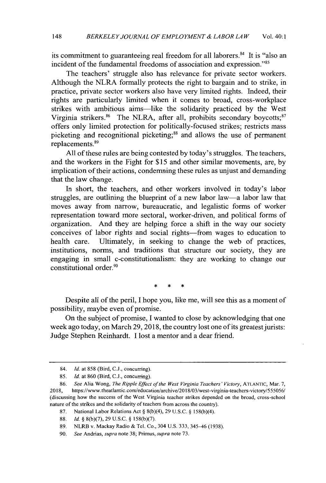its commitment to guaranteeing real freedom for all laborers. $84$  It is "also an incident of the fundamental freedoms of association and expression."<sup>85</sup>

The teachers' struggle also has relevance for private sector workers. Although the NLRA formally protects the right to bargain and to strike, in practice, private sector workers also have very limited rights. Indeed, their rights are particularly limited when it comes to broad, cross-workplace strikes with ambitious aims-like the solidarity practiced **by** the West Virginia strikers. $86$  The NLRA, after all, prohibits secondary boycotts; $87$ offers only limited protection for politically-focused strikes; restricts mass picketing and recognitional picketing;<sup>88</sup> and allows the use of permanent replacements.<sup>89</sup>

**All** of these rules are being contested **by** today's struggles. The teachers, and the workers in the Fight for *\$15* and other similar movements, are, **by** implication of their actions, condemning these rules as unjust and demanding that the law change.

In short, the teachers, and other workers involved in today's labor struggles, are outlining the blueprint of a new labor law-a labor law that moves away from narrow, bureaucratic, and legalistic forms of worker representation toward more sectoral, worker-driven, and political forms of organization. And they are helping force a shift in the way our society conceives of labor rights and social rights-from wages to education to health care. Ultimately, in seeking to change the web of practices, institutions, norms, and traditions that structure our society, they are engaging in small c-constitutionalism: they are working to change our constitutional order.<sup>90</sup>

Despite all of the peril, **I** hope you, like me, will see this as a moment of possibility, maybe even of promise.

On the subject of promise, **I** wanted to close **by** acknowledging that one week ago today, on March **29, 2018,** the country lost one of its greatest jurists: Judge Stephen Reinhardt. **I** lost a mentor and a dear friend.

<sup>84.</sup> *Id. at* **858** (Bird, **C.J.,** concurring).

**<sup>85.</sup>** *Id. at* **860** (Bird, **C.J.,** concurring).

**<sup>86.</sup>** *See* Alia Wong, *The Ripple Effect of the West Virginia Teachers' Victory,* **ATLANTIC,** Mar. **7, 2018,** https://www.theatlantic.com/education/archive/2018/03/west-virginia-teachers-victory/555056/ (discussing how the success of the West Virginia teacher strikes depended on the broad, cross-school nature of the strikes and the solidarity of teachers from across the country).

**<sup>87.</sup>** National Labor Relations Act **§ 8(b)(4), 29 U.S.C. § 158(b)(4).**

**<sup>88.</sup>** *Id.* **§ 8(b)(7), 29 U.S.C. § 158(b)(7).**

**<sup>89.</sup>** NLR.B v. Mackay Radio *&* Tel. Co., 304 **U.S. 333,** *345-46* **(1938).**

**<sup>90.</sup>** *See Andrias, supra* note **38;** Primus, *supra* note **73.**